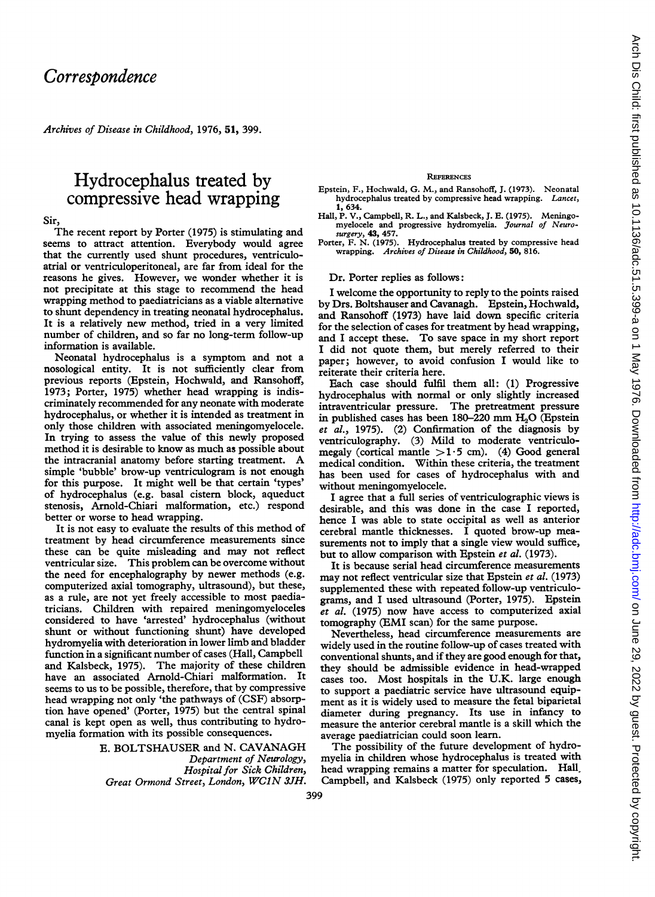Archives of Disease in Childhood, 1976, 51, 399.

# Hydrocephalus treated by compressive head wrapping

### Sir,

The recent report by Porter (1975) is stimulating and seems to attract attention. Everybody would agree that the currently used shunt procedures, ventriculoatrial or ventriculoperitoneal, are far from ideal for the reasons he gives. However, we wonder whether it is not precipitate at this stage to recommend the head wrapping method to paediatricians as a viable altemative to shunt dependency in treating neonatal hydrocephalus. It is a relatively new method, tried in <sup>a</sup> very limited number of children, and so far no long-term follow-up information is available.

Neonatal hydrocephalus is a symptom and not a nosological entity. It is not sufficiently clear from previous reports (Epstein, Hochwald, and Ransohoff, 1973; Porter, 1975) whether head wrapping is indiscriminately recommended for any neonate with moderate hydrocephalus, or whether it is intended as treatment in only those children with associated meningomyelocele. In trying to assess the value of this newly proposed method it is desirable to know as much as possible about the intracranial anatomy before starting treatment. A simple 'bubble' brow-up ventriculogram is not enough for this purpose. It might well be that certain 'types' of hydrocephalus (e.g. basal cistem block, aqueduct stenosis, Arnold-Chiari malformation, etc.) respond better or worse to head wrapping.

It is not easy to evaluate the results of this method of treatment by head circumference measurements since these can be quite misleading and may not reflect ventricular size. This problem can be overcome without the need for encephalography by newer methods (e.g. computerized axial tomography, ultrasound), but these, as a rule, are not yet freely accessible to most paediatricians. Children with repaired meningomyeloceles considered to have 'arrested' hydrocephalus (without shunt or without functioning shunt) have developed hydromyelia with deterioration in lower limb and bladder function in a significant number of cases (Hall, Campbell and Kalsbeck, 1975). The majority of these children have an associated Arnold-Chiari malformation. It seems to us to be possible, therefore, that by compressive head wrapping not only 'the pathways of (CSF) absorption have opened' (Porter, 1975) but the central spinal canal is kept open as well, thus contributing to hydromyelia formation with its possible consequences.

> E. BOLTSHAUSER and N. CAVANAGH Department of Neurology, Hospital for Sick Children, Great Ormond Street, London, WC1N 3JH.

#### **REFERENCES**

- Epstein, F., Hochwald, G. M., and Ransohoff, J. (1973). Neonatal hydrocephalus treated by compressive head wrapping. Lancet, 1, 634.
- Hall, P. V., Campbell, R. L., and Kalsbeck, J. E. (1975). Meningomyelocele and progressive hydromyelia. Journal of Neuro-
- surgery, 43, 457.<br>Porter, F. N. (1975). Hydrocephalus treated by compressive head wrapping. Archives of Disease in Childhood, 50, 816.

#### Dr. Porter replies as follows:

I welcome the opportunity to reply to the points raised by Drs. Boltshauser and Cavanagh. Epstein, Hochwald, and Ransohoff (1973) have laid down specific criteria for the selection of cases for treatment by head wrapping, and <sup>I</sup> accept these. To save space in my short report I did not quote them, but merely referred to their paper; however, to avoid confusion <sup>I</sup> would like to reiterate their criteria here.

Each case should fulfil them all: (1) Progressive hydrocephalus with normal or only slightly increased intraventricular pressure. The pretreatment pressure in published cases has been  $180-220$  mm  $H<sub>2</sub>O$  (Epstein et al., 1975). (2) Confirmation of the diagnosis by ventriculography. (3) Mild to moderate ventriculomegaly (cortical mantle  $>1.5$  cm). (4) Good general medical condition. Within these criteria, the treatment has been used for cases of hydrocephalus with and without meningomyelocele.

I agree that a full series of ventriculographic views is desirable, and this was done in the case <sup>I</sup> reported, hence I was able to state occipital as well as anterior cerebral mantle thicknesses. I quoted brow-up measurements not to imply that a single view would suffice, but to allow comparison with Epstein et al. (1973).

It is because serial head circumference measurements may not reflect ventricular size that Epstein et al. (1973) supplemented these with repeated follow-up ventriculograms, and I used ultrasound (Porter, 1975). Epstein et al. (1975) now have access to computerized axial tomography (EMI scan) for the same purpose.

Nevertheless, head circumference measurements are widely used in the routine follow-up of cases treated with conventional shunts, and if they are good enough for that, they should be admissible evidence in head-wrapped cases too. Most hospitals in the U.K. large enough to support a paediatric service have ultrasound equipment as it is widely used to measure the fetal biparietal diameter during pregnancy. Its use in infancy to measure the anterior cerebral mantle is a skill which the average paediatrician could soon leam.

The possibility of the future development of hydromyelia in children whose hydrocephalus is treated with head wrapping remains a matter for speculation. Hall. Campbell, and Kalsbeck (1975) only reported 5 cases,